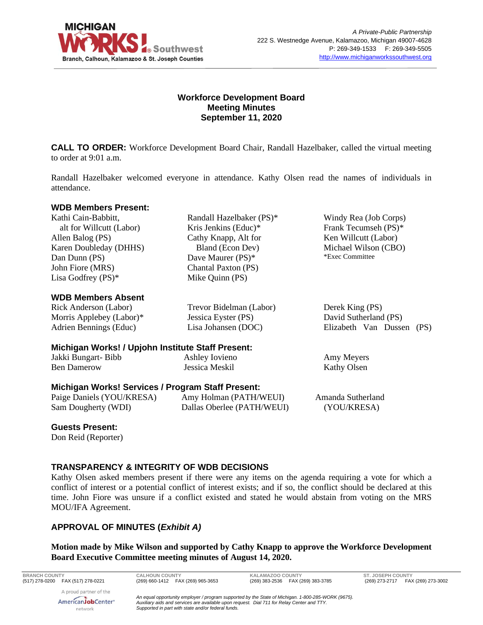

# **Workforce Development Board Meeting Minutes September 11, 2020**

**CALL TO ORDER:** Workforce Development Board Chair, Randall Hazelbaker, called the virtual meeting to order at 9:01 a.m.

Randall Hazelbaker welcomed everyone in attendance. Kathy Olsen read the names of individuals in attendance.

#### **WDB Members Present:**

Kathi Cain-Babbitt, alt for Willcutt (Labor) Allen Balog (PS) Karen Doubleday (DHHS) Dan Dunn (PS) John Fiore (MRS) Lisa Godfrey (PS)\*

## **WDB Members Absent**

Rick Anderson (Labor) Morris Applebey (Labor)\* Adrien Bennings (Educ)

Randall Hazelbaker (PS)\* Kris Jenkins (Educ)\* Cathy Knapp, Alt for Bland (Econ Dev) Dave Maurer (PS)\* Chantal Paxton (PS) Mike Quinn (PS)

Trevor Bidelman (Labor) Jessica Eyster (PS) Lisa Johansen (DOC)

Windy Rea (Job Corps) Frank Tecumseh (PS)\* Ken Willcutt (Labor) Michael Wilson (CBO) \*Exec Committee

| Derek King (PS)           |  |
|---------------------------|--|
| David Sutherland (PS)     |  |
| Elizabeth Van Dussen (PS) |  |

Amy Meyers Kathy Olsen

# **Michigan Works! / Upjohn Institute Staff Present:**

Jakki Bungart- Bibb Ben Damerow Ashley Iovieno Jessica Meskil

# **Michigan Works! Services / Program Staff Present:**

| Paige Daniels (YOU/KRESA) | Amy Holman (PATH/WEUI)     | Amanda Sutherland |
|---------------------------|----------------------------|-------------------|
| Sam Dougherty (WDI)       | Dallas Oberlee (PATH/WEUI) | (YOU/KRESA)       |

## **Guests Present:**

Don Reid (Reporter)

## **TRANSPARENCY & INTEGRITY OF WDB DECISIONS**

Kathy Olsen asked members present if there were any items on the agenda requiring a vote for which a conflict of interest or a potential conflict of interest exists; and if so, the conflict should be declared at this time. John Fiore was unsure if a conflict existed and stated he would abstain from voting on the MRS MOU/IFA Agreement.

# **APPROVAL OF MINUTES (***Exhibit A)*

**Motion made by Mike Wilson and supported by Cathy Knapp to approve the Workforce Development Board Executive Committee meeting minutes of August 14, 2020.**

**BRANCH COUNTY CALHOUN COUNTY KALAMAZOO COUNTY ST. JOSEPH COUNTY**

A proud partner of the AmericanJobCenter<sup>®</sup> network

*An equal opportunity employer / program supported by the State of Michigan. 1-800-285-WORK (9675). Auxiliary aids and services are available upon request. Dial 711 for Relay Center and TTY. Supported in part with state and/or federal funds.*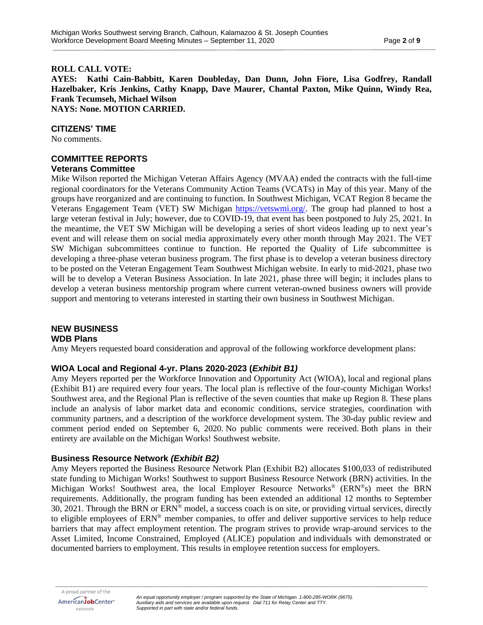## **ROLL CALL VOTE:**

**AYES: Kathi Cain-Babbitt, Karen Doubleday, Dan Dunn, John Fiore, Lisa Godfrey, Randall Hazelbaker, Kris Jenkins, Cathy Knapp, Dave Maurer, Chantal Paxton, Mike Quinn, Windy Rea, Frank Tecumseh, Michael Wilson NAYS: None. MOTION CARRIED.**

**CITIZENS' TIME**

No comments.

#### **COMMITTEE REPORTS Veterans Committee**

Mike Wilson reported the Michigan Veteran Affairs Agency (MVAA) ended the contracts with the full-time regional coordinators for the Veterans Community Action Teams (VCATs) in May of this year. Many of the groups have reorganized and are continuing to function. In Southwest Michigan, VCAT Region 8 became the Veterans Engagement Team (VET) SW Michigan [https://vetswmi.org/.](https://vetswmi.org/) The group had planned to host a large veteran festival in July; however, due to COVID-19, that event has been postponed to July 25, 2021. In the meantime, the VET SW Michigan will be developing a series of short videos leading up to next year's event and will release them on social media approximately every other month through May 2021. The VET SW Michigan subcommittees continue to function. He reported the Quality of Life subcommittee is developing a three-phase veteran business program. The first phase is to develop a veteran business directory to be posted on the Veteran Engagement Team Southwest Michigan website. In early to mid-2021, phase two will be to develop a Veteran Business Association. In late 2021, phase three will begin; it includes plans to develop a veteran business mentorship program where current veteran-owned business owners will provide support and mentoring to veterans interested in starting their own business in Southwest Michigan.

#### **NEW BUSINESS WDB Plans**

Amy Meyers requested board consideration and approval of the following workforce development plans:

# **WIOA Local and Regional 4-yr. Plans 2020-2023 (***Exhibit B1)*

Amy Meyers reported per the Workforce Innovation and Opportunity Act (WIOA), local and regional plans (Exhibit B1) are required every four years. The local plan is reflective of the four-county Michigan Works! Southwest area, and the Regional Plan is reflective of the seven counties that make up Region 8. These plans include an analysis of labor market data and economic conditions, service strategies, coordination with community partners, and a description of the workforce development system. The 30-day public review and comment period ended on September 6, 2020. No public comments were received. Both plans in their entirety are available on the Michigan Works! Southwest website.

## **Business Resource Network** *(Exhibit B2)*

Amy Meyers reported the Business Resource Network Plan (Exhibit B2) allocates \$100,033 of redistributed state funding to Michigan Works! Southwest to support Business Resource Network (BRN) activities. In the Michigan Works! Southwest area, the local Employer Resource Networks ® (ERN®s) meet the BRN requirements. Additionally, the program funding has been extended an additional 12 months to September 30, 2021. Through the BRN or  $ERN^{\circ}$  model, a success coach is on site, or providing virtual services, directly to eligible employees of ERN® member companies, to offer and deliver supportive services to help reduce barriers that may affect employment retention. The program strives to provide wrap-around services to the Asset Limited, Income Constrained, Employed (ALICE) population and individuals with demonstrated or documented barriers to employment. This results in employee retention success for employers.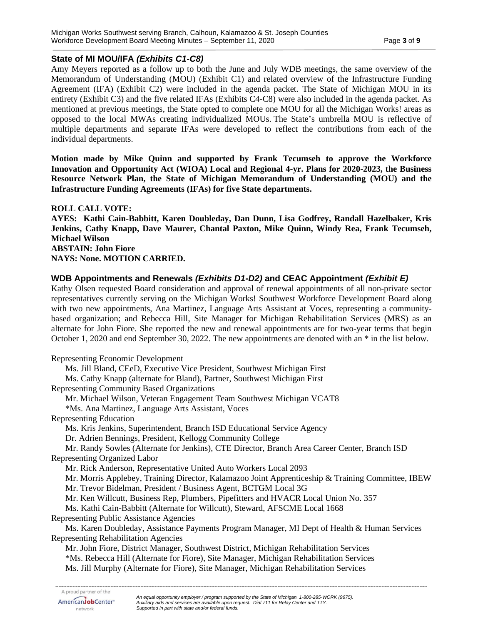# **State of MI MOU/IFA** *(Exhibits C1-C8)*

Amy Meyers reported as a follow up to both the June and July WDB meetings, the same overview of the Memorandum of Understanding (MOU) (Exhibit C1) and related overview of the Infrastructure Funding Agreement (IFA) (Exhibit C2) were included in the agenda packet. The State of Michigan MOU in its entirety (Exhibit C3) and the five related IFAs (Exhibits C4-C8) were also included in the agenda packet. As mentioned at previous meetings, the State opted to complete one MOU for all the Michigan Works! areas as opposed to the local MWAs creating individualized MOUs. The State's umbrella MOU is reflective of multiple departments and separate IFAs were developed to reflect the contributions from each of the individual departments.

**Motion made by Mike Quinn and supported by Frank Tecumseh to approve the Workforce Innovation and Opportunity Act (WIOA) Local and Regional 4-yr. Plans for 2020-2023, the Business Resource Network Plan, the State of Michigan Memorandum of Understanding (MOU) and the Infrastructure Funding Agreements (IFAs) for five State departments.**

**ROLL CALL VOTE: AYES: Kathi Cain-Babbitt, Karen Doubleday, Dan Dunn, Lisa Godfrey, Randall Hazelbaker, Kris Jenkins, Cathy Knapp, Dave Maurer, Chantal Paxton, Mike Quinn, Windy Rea, Frank Tecumseh, Michael Wilson ABSTAIN: John Fiore NAYS: None. MOTION CARRIED.**

# **WDB Appointments and Renewals** *(Exhibits D1-D2)* **and CEAC Appointment** *(Exhibit E)*

Kathy Olsen requested Board consideration and approval of renewal appointments of all non-private sector representatives currently serving on the Michigan Works! Southwest Workforce Development Board along with two new appointments, Ana Martinez, Language Arts Assistant at Voces, representing a communitybased organization; and Rebecca Hill, Site Manager for Michigan Rehabilitation Services (MRS) as an alternate for John Fiore. She reported the new and renewal appointments are for two-year terms that begin October 1, 2020 and end September 30, 2022. The new appointments are denoted with an \* in the list below.

Representing Economic Development Ms. Jill Bland, CEeD, Executive Vice President, Southwest Michigan First Ms. Cathy Knapp (alternate for Bland), Partner, Southwest Michigan First Representing Community Based Organizations Mr. Michael Wilson, Veteran Engagement Team Southwest Michigan VCAT8 \*Ms. Ana Martinez, Language Arts Assistant, Voces Representing Education Ms. Kris Jenkins, Superintendent, Branch ISD Educational Service Agency Dr. Adrien Bennings, President, Kellogg Community College Mr. Randy Sowles (Alternate for Jenkins), CTE Director, Branch Area Career Center, Branch ISD Representing Organized Labor Mr. Rick Anderson, Representative United Auto Workers Local 2093 Mr. Morris Applebey, Training Director, Kalamazoo Joint Apprenticeship & Training Committee, IBEW Mr. Trevor Bidelman, President / Business Agent, BCTGM Local 3G Mr. Ken Willcutt, Business Rep, Plumbers, Pipefitters and HVACR Local Union No. 357 Ms. Kathi Cain-Babbitt (Alternate for Willcutt), Steward, AFSCME Local 1668 Representing Public Assistance Agencies Ms. Karen Doubleday, Assistance Payments Program Manager, MI Dept of Health & Human Services Representing Rehabilitation Agencies Mr. John Fiore, District Manager, Southwest District, Michigan Rehabilitation Services \*Ms. Rebecca Hill (Alternate for Fiore), Site Manager, Michigan Rehabilitation Services Ms. Jill Murphy (Alternate for Fiore), Site Manager, Michigan Rehabilitation Services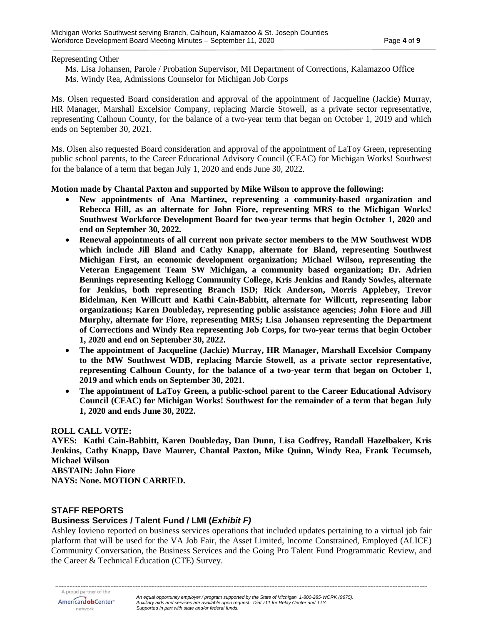#### Representing Other

Ms. Lisa Johansen, Parole / Probation Supervisor, MI Department of Corrections, Kalamazoo Office Ms. Windy Rea, Admissions Counselor for Michigan Job Corps

Ms. Olsen requested Board consideration and approval of the appointment of Jacqueline (Jackie) Murray, HR Manager, Marshall Excelsior Company, replacing Marcie Stowell, as a private sector representative, representing Calhoun County, for the balance of a two-year term that began on October 1, 2019 and which ends on September 30, 2021.

Ms. Olsen also requested Board consideration and approval of the appointment of LaToy Green, representing public school parents, to the Career Educational Advisory Council (CEAC) for Michigan Works! Southwest for the balance of a term that began July 1, 2020 and ends June 30, 2022.

**Motion made by Chantal Paxton and supported by Mike Wilson to approve the following:**

- **New appointments of Ana Martinez, representing a community-based organization and Rebecca Hill, as an alternate for John Fiore, representing MRS to the Michigan Works! Southwest Workforce Development Board for two-year terms that begin October 1, 2020 and end on September 30, 2022.**
- **Renewal appointments of all current non private sector members to the MW Southwest WDB which include Jill Bland and Cathy Knapp, alternate for Bland, representing Southwest Michigan First, an economic development organization; Michael Wilson, representing the Veteran Engagement Team SW Michigan, a community based organization; Dr. Adrien Bennings representing Kellogg Community College, Kris Jenkins and Randy Sowles, alternate for Jenkins, both representing Branch ISD; Rick Anderson, Morris Applebey, Trevor Bidelman, Ken Willcutt and Kathi Cain-Babbitt, alternate for Willcutt, representing labor organizations; Karen Doubleday, representing public assistance agencies; John Fiore and Jill Murphy, alternate for Fiore, representing MRS; Lisa Johansen representing the Department of Corrections and Windy Rea representing Job Corps, for two-year terms that begin October 1, 2020 and end on September 30, 2022.**
- **The appointment of Jacqueline (Jackie) Murray, HR Manager, Marshall Excelsior Company to the MW Southwest WDB, replacing Marcie Stowell, as a private sector representative, representing Calhoun County, for the balance of a two-year term that began on October 1, 2019 and which ends on September 30, 2021.**
- **The appointment of LaToy Green, a public-school parent to the Career Educational Advisory Council (CEAC) for Michigan Works! Southwest for the remainder of a term that began July 1, 2020 and ends June 30, 2022.**

## **ROLL CALL VOTE:**

**AYES: Kathi Cain-Babbitt, Karen Doubleday, Dan Dunn, Lisa Godfrey, Randall Hazelbaker, Kris Jenkins, Cathy Knapp, Dave Maurer, Chantal Paxton, Mike Quinn, Windy Rea, Frank Tecumseh, Michael Wilson**

**ABSTAIN: John Fiore**

**NAYS: None. MOTION CARRIED.**

# **STAFF REPORTS**

# **Business Services / Talent Fund / LMI (***Exhibit F)*

Ashley Iovieno reported on business services operations that included updates pertaining to a virtual job fair platform that will be used for the VA Job Fair, the Asset Limited, Income Constrained, Employed (ALICE) Community Conversation, the Business Services and the Going Pro Talent Fund Programmatic Review, and the Career & Technical Education (CTE) Survey.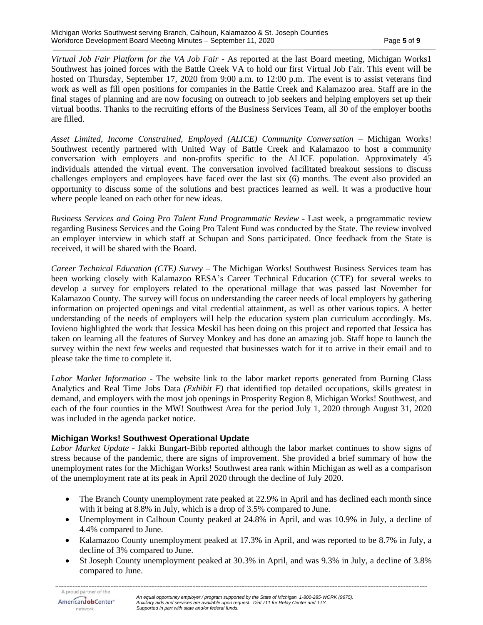*Virtual Job Fair Platform for the VA Job Fair* - As reported at the last Board meeting, Michigan Works1 Southwest has joined forces with the Battle Creek VA to hold our first Virtual Job Fair. This event will be hosted on Thursday, September 17, 2020 from 9:00 a.m. to 12:00 p.m. The event is to assist veterans find work as well as fill open positions for companies in the Battle Creek and Kalamazoo area. Staff are in the final stages of planning and are now focusing on outreach to job seekers and helping employers set up their virtual booths. Thanks to the recruiting efforts of the Business Services Team, all 30 of the employer booths are filled.

*Asset Limited, Income Constrained, Employed (ALICE) Community Conversation* – Michigan Works! Southwest recently partnered with United Way of Battle Creek and Kalamazoo to host a community conversation with employers and non-profits specific to the ALICE population. Approximately 45 individuals attended the virtual event. The conversation involved facilitated breakout sessions to discuss challenges employers and employees have faced over the last six (6) months. The event also provided an opportunity to discuss some of the solutions and best practices learned as well. It was a productive hour where people leaned on each other for new ideas.

*Business Services and Going Pro Talent Fund Programmatic Review* - Last week, a programmatic review regarding Business Services and the Going Pro Talent Fund was conducted by the State. The review involved an employer interview in which staff at Schupan and Sons participated. Once feedback from the State is received, it will be shared with the Board.

*Career Technical Education (CTE) Survey* – The Michigan Works! Southwest Business Services team has been working closely with Kalamazoo RESA's Career Technical Education (CTE) for several weeks to develop a survey for employers related to the operational millage that was passed last November for Kalamazoo County. The survey will focus on understanding the career needs of local employers by gathering information on projected openings and vital credential attainment, as well as other various topics. A better understanding of the needs of employers will help the education system plan curriculum accordingly. Ms. Iovieno highlighted the work that Jessica Meskil has been doing on this project and reported that Jessica has taken on learning all the features of Survey Monkey and has done an amazing job. Staff hope to launch the survey within the next few weeks and requested that businesses watch for it to arrive in their email and to please take the time to complete it.

*Labor Market Information* - The website link to the labor market reports generated from Burning Glass Analytics and Real Time Jobs Data *(Exhibit F)* that identified top detailed occupations, skills greatest in demand, and employers with the most job openings in Prosperity Region 8, Michigan Works! Southwest, and each of the four counties in the MW! Southwest Area for the period July 1, 2020 through August 31, 2020 was included in the agenda packet notice.

# **Michigan Works! Southwest Operational Update**

*Labor Market Update* - Jakki Bungart-Bibb reported although the labor market continues to show signs of stress because of the pandemic, there are signs of improvement. She provided a brief summary of how the unemployment rates for the Michigan Works! Southwest area rank within Michigan as well as a comparison of the unemployment rate at its peak in April 2020 through the decline of July 2020.

- The Branch County unemployment rate peaked at 22.9% in April and has declined each month since with it being at 8.8% in July, which is a drop of 3.5% compared to June.
- Unemployment in Calhoun County peaked at 24.8% in April, and was 10.9% in July, a decline of 4.4% compared to June.
- Kalamazoo County unemployment peaked at 17.3% in April, and was reported to be 8.7% in July, a decline of 3% compared to June.
- St Joseph County unemployment peaked at 30.3% in April, and was 9.3% in July, a decline of 3.8% compared to June.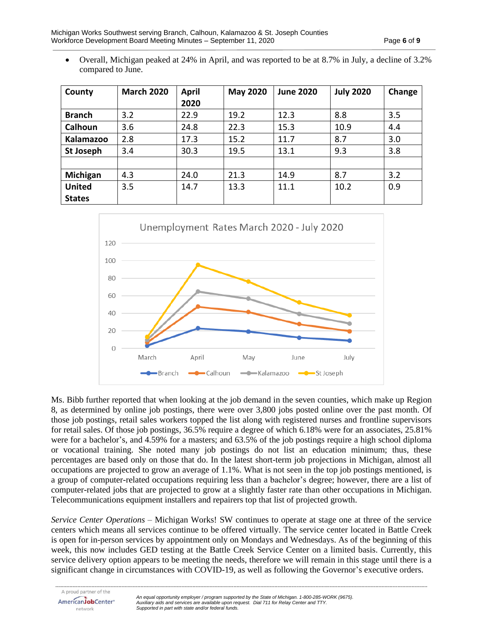• Overall, Michigan peaked at 24% in April, and was reported to be at 8.7% in July, a decline of 3.2% compared to June.

| County           | <b>March 2020</b> | <b>April</b><br>2020 | <b>May 2020</b> | <b>June 2020</b> | <b>July 2020</b> | Change |
|------------------|-------------------|----------------------|-----------------|------------------|------------------|--------|
| <b>Branch</b>    | 3.2               | 22.9                 | 19.2            | 12.3             | 8.8              | 3.5    |
| Calhoun          | 3.6               | 24.8                 | 22.3            | 15.3             | 10.9             | 4.4    |
| Kalamazoo        | 2.8               | 17.3                 | 15.2            | 11.7             | 8.7              | 3.0    |
| <b>St Joseph</b> | 3.4               | 30.3                 | 19.5            | 13.1             | 9.3              | 3.8    |
|                  |                   |                      |                 |                  |                  |        |
| Michigan         | 4.3               | 24.0                 | 21.3            | 14.9             | 8.7              | 3.2    |
| <b>United</b>    | 3.5               | 14.7                 | 13.3            | 11.1             | 10.2             | 0.9    |
| <b>States</b>    |                   |                      |                 |                  |                  |        |



Ms. Bibb further reported that when looking at the job demand in the seven counties, which make up Region 8, as determined by online job postings, there were over 3,800 jobs posted online over the past month. Of those job postings, retail sales workers topped the list along with registered nurses and frontline supervisors for retail sales. Of those job postings, 36.5% require a degree of which 6.18% were for an associates, 25.81% were for a bachelor's, and 4.59% for a masters; and 63.5% of the job postings require a high school diploma or vocational training. She noted many job postings do not list an education minimum; thus, these percentages are based only on those that do. In the latest short-term job projections in Michigan, almost all occupations are projected to grow an average of 1.1%. What is not seen in the top job postings mentioned, is a group of computer-related occupations requiring less than a bachelor's degree; however, there are a list of computer-related jobs that are projected to grow at a slightly faster rate than other occupations in Michigan. Telecommunications equipment installers and repairers top that list of projected growth.

*Service Center Operations* – Michigan Works! SW continues to operate at stage one at three of the service centers which means all services continue to be offered virtually. The service center located in Battle Creek is open for in-person services by appointment only on Mondays and Wednesdays. As of the beginning of this week, this now includes GED testing at the Battle Creek Service Center on a limited basis. Currently, this service delivery option appears to be meeting the needs, therefore we will remain in this stage until there is a significant change in circumstances with COVID-19, as well as following the Governor's executive orders.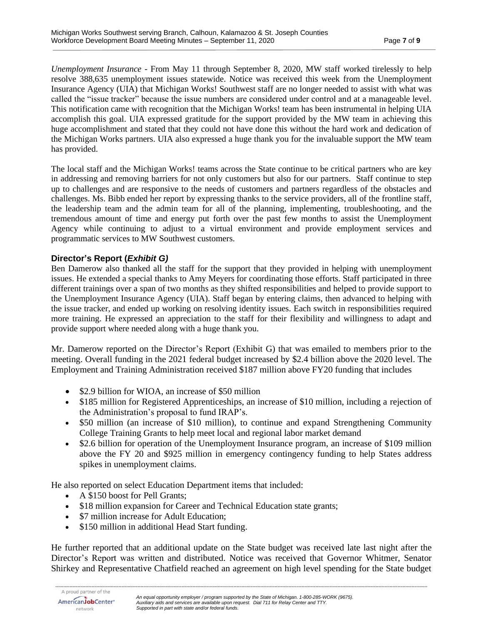*Unemployment Insurance* - From May 11 through September 8, 2020, MW staff worked tirelessly to help resolve 388,635 unemployment issues statewide. Notice was received this week from the Unemployment Insurance Agency (UIA) that Michigan Works! Southwest staff are no longer needed to assist with what was called the "issue tracker" because the issue numbers are considered under control and at a manageable level. This notification came with recognition that the Michigan Works! team has been instrumental in helping UIA accomplish this goal. UIA expressed gratitude for the support provided by the MW team in achieving this huge accomplishment and stated that they could not have done this without the hard work and dedication of the Michigan Works partners. UIA also expressed a huge thank you for the invaluable support the MW team has provided.

The local staff and the Michigan Works! teams across the State continue to be critical partners who are key in addressing and removing barriers for not only customers but also for our partners. Staff continue to step up to challenges and are responsive to the needs of customers and partners regardless of the obstacles and challenges. Ms. Bibb ended her report by expressing thanks to the service providers, all of the frontline staff, the leadership team and the admin team for all of the planning, implementing, troubleshooting, and the tremendous amount of time and energy put forth over the past few months to assist the Unemployment Agency while continuing to adjust to a virtual environment and provide employment services and programmatic services to MW Southwest customers.

# **Director's Report (***Exhibit G)*

Ben Damerow also thanked all the staff for the support that they provided in helping with unemployment issues. He extended a special thanks to Amy Meyers for coordinating those efforts. Staff participated in three different trainings over a span of two months as they shifted responsibilities and helped to provide support to the Unemployment Insurance Agency (UIA). Staff began by entering claims, then advanced to helping with the issue tracker, and ended up working on resolving identity issues. Each switch in responsibilities required more training. He expressed an appreciation to the staff for their flexibility and willingness to adapt and provide support where needed along with a huge thank you.

Mr. Damerow reported on the Director's Report (Exhibit G) that was emailed to members prior to the meeting. Overall funding in the 2021 federal budget increased by \$2.4 billion above the 2020 level. The Employment and Training Administration received \$187 million above FY20 funding that includes

- \$2.9 billion for WIOA, an increase of \$50 million
- \$185 million for Registered Apprenticeships, an increase of \$10 million, including a rejection of the Administration's proposal to fund IRAP's.
- \$50 million (an increase of \$10 million), to continue and expand Strengthening Community College Training Grants to help meet local and regional labor market demand
- \$2.6 billion for operation of the Unemployment Insurance program, an increase of \$109 million above the FY 20 and \$925 million in emergency contingency funding to help States address spikes in unemployment claims.

He also reported on select Education Department items that included:

- A \$150 boost for Pell Grants;
- \$18 million expansion for Career and Technical Education state grants;
- \$7 million increase for Adult Education;
- \$150 million in additional Head Start funding.

He further reported that an additional update on the State budget was received late last night after the Director's Report was written and distributed. Notice was received that Governor Whitmer, Senator Shirkey and Representative Chatfield reached an agreement on high level spending for the State budget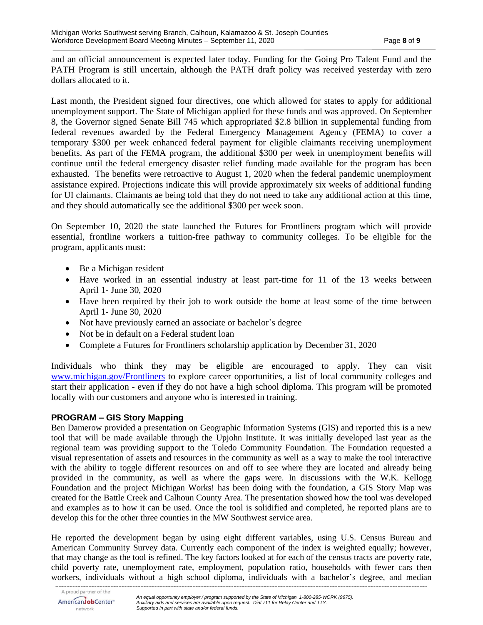and an official announcement is expected later today. Funding for the Going Pro Talent Fund and the PATH Program is still uncertain, although the PATH draft policy was received yesterday with zero dollars allocated to it.

Last month, the President signed four directives, one which allowed for states to apply for additional unemployment support. The State of Michigan applied for these funds and was approved. On September 8, the Governor signed Senate Bill 745 which appropriated \$2.8 billion in supplemental funding from federal revenues awarded by the Federal Emergency Management Agency (FEMA) to cover a temporary \$300 per week enhanced federal payment for eligible claimants receiving unemployment benefits. As part of the FEMA program, the additional \$300 per week in unemployment benefits will continue until the federal emergency disaster relief funding made available for the program has been exhausted. The benefits were retroactive to August 1, 2020 when the federal pandemic unemployment assistance expired. Projections indicate this will provide approximately six weeks of additional funding for UI claimants. Claimants ae being told that they do not need to take any additional action at this time, and they should automatically see the additional \$300 per week soon.

On September 10, 2020 the state launched the Futures for Frontliners program which will provide essential, frontline workers a tuition-free pathway to community colleges. To be eligible for the program, applicants must:

- Be a Michigan resident
- Have worked in an essential industry at least part-time for 11 of the 13 weeks between April 1- June 30, 2020
- Have been required by their job to work outside the home at least some of the time between April 1- June 30, 2020
- Not have previously earned an associate or bachelor's degree
- Not be in default on a Federal student loan
- Complete a Futures for Frontliners scholarship application by December 31, 2020

Individuals who think they may be eligible are encouraged to apply. They can visit [www.michigan.gov/Frontliners](http://www.michigan.gov/Frontliners) to explore career opportunities, a list of local community colleges and start their application - even if they do not have a high school diploma. This program will be promoted locally with our customers and anyone who is interested in training.

# **PROGRAM – GIS Story Mapping**

Ben Damerow provided a presentation on Geographic Information Systems (GIS) and reported this is a new tool that will be made available through the Upjohn Institute. It was initially developed last year as the regional team was providing support to the Toledo Community Foundation. The Foundation requested a visual representation of assets and resources in the community as well as a way to make the tool interactive with the ability to toggle different resources on and off to see where they are located and already being provided in the community, as well as where the gaps were. In discussions with the W.K. Kellogg Foundation and the project Michigan Works! has been doing with the foundation, a GIS Story Map was created for the Battle Creek and Calhoun County Area. The presentation showed how the tool was developed and examples as to how it can be used. Once the tool is solidified and completed, he reported plans are to develop this for the other three counties in the MW Southwest service area.

He reported the development began by using eight different variables, using U.S. Census Bureau and American Community Survey data. Currently each component of the index is weighted equally; however, that may change as the tool is refined. The key factors looked at for each of the census tracts are poverty rate, child poverty rate, unemployment rate, employment, population ratio, households with fewer cars then workers, individuals without a high school diploma, individuals with a bachelor's degree, and median